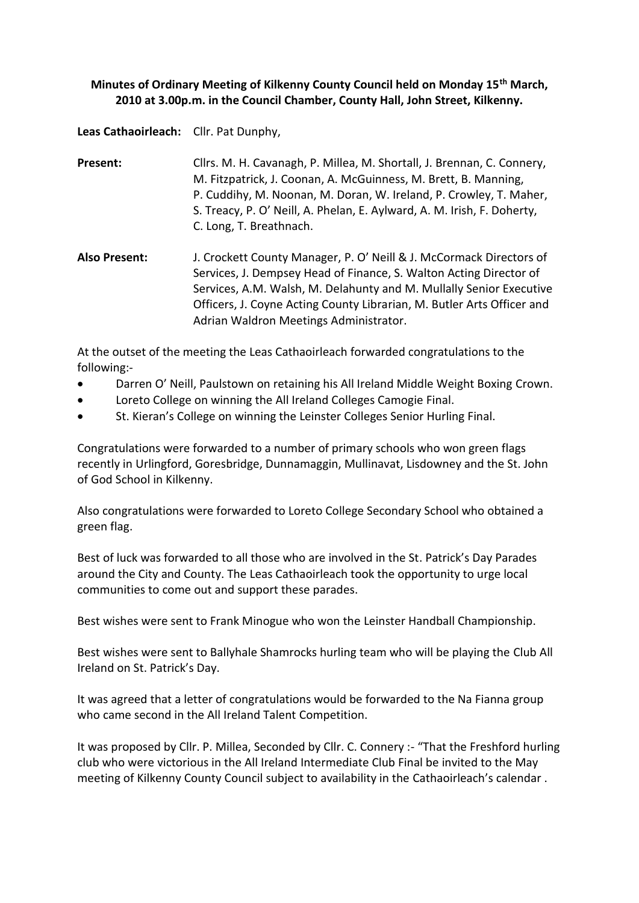## **Minutes of Ordinary Meeting of Kilkenny County Council held on Monday 15th March, 2010 at 3.00p.m. in the Council Chamber, County Hall, John Street, Kilkenny.**

**Leas Cathaoirleach:** Cllr. Pat Dunphy,

| Present: | Cllrs. M. H. Cavanagh, P. Millea, M. Shortall, J. Brennan, C. Connery,  |
|----------|-------------------------------------------------------------------------|
|          | M. Fitzpatrick, J. Coonan, A. McGuinness, M. Brett, B. Manning,         |
|          | P. Cuddihy, M. Noonan, M. Doran, W. Ireland, P. Crowley, T. Maher,      |
|          | S. Treacy, P. O' Neill, A. Phelan, E. Aylward, A. M. Irish, F. Doherty, |
|          | C. Long, T. Breathnach.                                                 |

**Also Present:** J. Crockett County Manager, P. O' Neill & J. McCormack Directors of Services, J. Dempsey Head of Finance, S. Walton Acting Director of Services, A.M. Walsh, M. Delahunty and M. Mullally Senior Executive Officers, J. Coyne Acting County Librarian, M. Butler Arts Officer and Adrian Waldron Meetings Administrator.

At the outset of the meeting the Leas Cathaoirleach forwarded congratulations to the following:-

- Darren O' Neill, Paulstown on retaining his All Ireland Middle Weight Boxing Crown.
- Loreto College on winning the All Ireland Colleges Camogie Final.
- St. Kieran's College on winning the Leinster Colleges Senior Hurling Final.

Congratulations were forwarded to a number of primary schools who won green flags recently in Urlingford, Goresbridge, Dunnamaggin, Mullinavat, Lisdowney and the St. John of God School in Kilkenny.

Also congratulations were forwarded to Loreto College Secondary School who obtained a green flag.

Best of luck was forwarded to all those who are involved in the St. Patrick's Day Parades around the City and County. The Leas Cathaoirleach took the opportunity to urge local communities to come out and support these parades.

Best wishes were sent to Frank Minogue who won the Leinster Handball Championship.

Best wishes were sent to Ballyhale Shamrocks hurling team who will be playing the Club All Ireland on St. Patrick's Day.

It was agreed that a letter of congratulations would be forwarded to the Na Fianna group who came second in the All Ireland Talent Competition.

It was proposed by Cllr. P. Millea, Seconded by Cllr. C. Connery :- "That the Freshford hurling club who were victorious in the All Ireland Intermediate Club Final be invited to the May meeting of Kilkenny County Council subject to availability in the Cathaoirleach's calendar .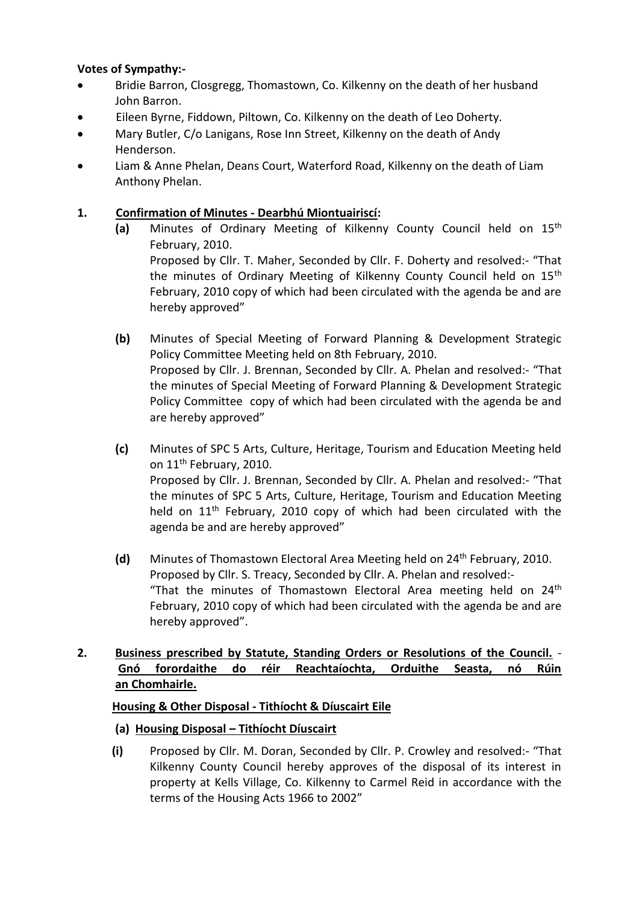### **Votes of Sympathy:-**

- Bridie Barron, Closgregg, Thomastown, Co. Kilkenny on the death of her husband John Barron.
- Eileen Byrne, Fiddown, Piltown, Co. Kilkenny on the death of Leo Doherty.
- Mary Butler, C/o Lanigans, Rose Inn Street, Kilkenny on the death of Andy Henderson.
- Liam & Anne Phelan, Deans Court, Waterford Road, Kilkenny on the death of Liam Anthony Phelan.

## **1. Confirmation of Minutes - Dearbhú Miontuairiscí:**

- **(a)** Minutes of Ordinary Meeting of Kilkenny County Council held on 15th February, 2010. Proposed by Cllr. T. Maher, Seconded by Cllr. F. Doherty and resolved:- "That the minutes of Ordinary Meeting of Kilkenny County Council held on 15<sup>th</sup> February, 2010 copy of which had been circulated with the agenda be and are hereby approved"
- **(b)** Minutes of Special Meeting of Forward Planning & Development Strategic Policy Committee Meeting held on 8th February, 2010. Proposed by Cllr. J. Brennan, Seconded by Cllr. A. Phelan and resolved:- "That the minutes of Special Meeting of Forward Planning & Development Strategic Policy Committee copy of which had been circulated with the agenda be and are hereby approved"
- **(c)** Minutes of SPC 5 Arts, Culture, Heritage, Tourism and Education Meeting held on 11<sup>th</sup> February, 2010. Proposed by Cllr. J. Brennan, Seconded by Cllr. A. Phelan and resolved:- "That the minutes of SPC 5 Arts, Culture, Heritage, Tourism and Education Meeting held on 11<sup>th</sup> February, 2010 copy of which had been circulated with the agenda be and are hereby approved"
- **(d)** Minutes of Thomastown Electoral Area Meeting held on 24th February, 2010. Proposed by Cllr. S. Treacy, Seconded by Cllr. A. Phelan and resolved:- "That the minutes of Thomastown Electoral Area meeting held on  $24<sup>th</sup>$ February, 2010 copy of which had been circulated with the agenda be and are hereby approved".

# **2. Business prescribed by Statute, Standing Orders or Resolutions of the Council.** - **Gnó forordaithe do réir Reachtaíochta, Orduithe Seasta, nó Rúin an Chomhairle.**

## **Housing & Other Disposal - Tithíocht & Díuscairt Eile**

## **(a) Housing Disposal – Tithíocht Díuscairt**

**(i)** Proposed by Cllr. M. Doran, Seconded by Cllr. P. Crowley and resolved:- "That Kilkenny County Council hereby approves of the disposal of its interest in property at Kells Village, Co. Kilkenny to Carmel Reid in accordance with the terms of the Housing Acts 1966 to 2002"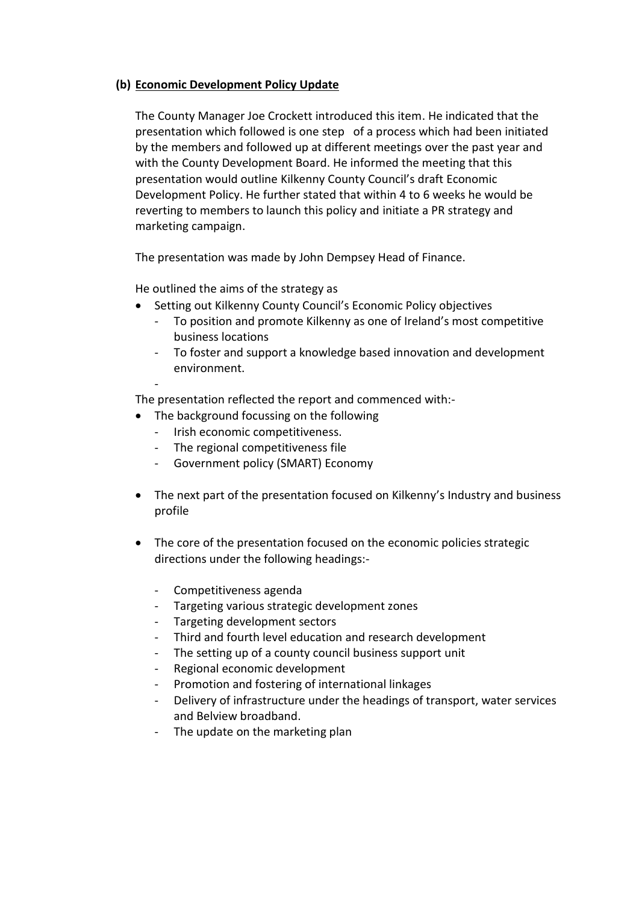#### **(b) Economic Development Policy Update**

The County Manager Joe Crockett introduced this item. He indicated that the presentation which followed is one step of a process which had been initiated by the members and followed up at different meetings over the past year and with the County Development Board. He informed the meeting that this presentation would outline Kilkenny County Council's draft Economic Development Policy. He further stated that within 4 to 6 weeks he would be reverting to members to launch this policy and initiate a PR strategy and marketing campaign.

The presentation was made by John Dempsey Head of Finance.

He outlined the aims of the strategy as

- Setting out Kilkenny County Council's Economic Policy objectives
	- To position and promote Kilkenny as one of Ireland's most competitive business locations
	- To foster and support a knowledge based innovation and development environment.

- The presentation reflected the report and commenced with:-

- The background focussing on the following
	- Irish economic competitiveness.
	- The regional competitiveness file
	- Government policy (SMART) Economy
- The next part of the presentation focused on Kilkenny's Industry and business profile
- The core of the presentation focused on the economic policies strategic directions under the following headings:-
	- Competitiveness agenda
	- Targeting various strategic development zones
	- Targeting development sectors
	- Third and fourth level education and research development
	- The setting up of a county council business support unit
	- Regional economic development
	- Promotion and fostering of international linkages
	- Delivery of infrastructure under the headings of transport, water services and Belview broadband.
	- The update on the marketing plan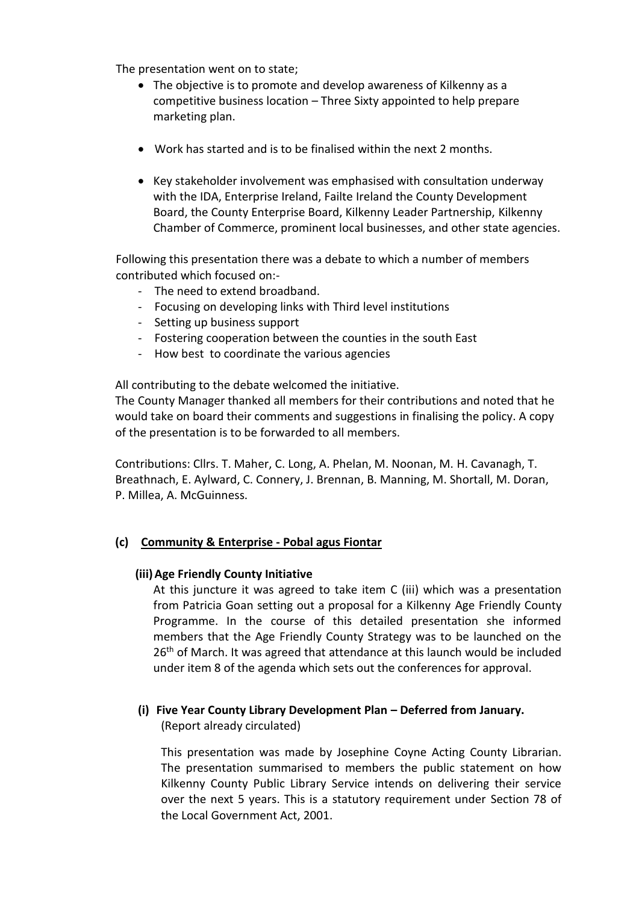The presentation went on to state;

- The objective is to promote and develop awareness of Kilkenny as a competitive business location – Three Sixty appointed to help prepare marketing plan.
- Work has started and is to be finalised within the next 2 months.
- Key stakeholder involvement was emphasised with consultation underway with the IDA, Enterprise Ireland, Failte Ireland the County Development Board, the County Enterprise Board, Kilkenny Leader Partnership, Kilkenny Chamber of Commerce, prominent local businesses, and other state agencies.

Following this presentation there was a debate to which a number of members contributed which focused on:-

- The need to extend broadband.
- Focusing on developing links with Third level institutions
- Setting up business support
- Fostering cooperation between the counties in the south East
- How best to coordinate the various agencies

All contributing to the debate welcomed the initiative.

The County Manager thanked all members for their contributions and noted that he would take on board their comments and suggestions in finalising the policy. A copy of the presentation is to be forwarded to all members.

Contributions: Cllrs. T. Maher, C. Long, A. Phelan, M. Noonan, M. H. Cavanagh, T. Breathnach, E. Aylward, C. Connery, J. Brennan, B. Manning, M. Shortall, M. Doran, P. Millea, A. McGuinness.

#### **(c) Community & Enterprise - Pobal agus Fiontar**

#### **(iii)Age Friendly County Initiative**

At this juncture it was agreed to take item C (iii) which was a presentation from Patricia Goan setting out a proposal for a Kilkenny Age Friendly County Programme. In the course of this detailed presentation she informed members that the Age Friendly County Strategy was to be launched on the 26<sup>th</sup> of March. It was agreed that attendance at this launch would be included under item 8 of the agenda which sets out the conferences for approval.

# **(i) Five Year County Library Development Plan – Deferred from January.**

(Report already circulated)

This presentation was made by Josephine Coyne Acting County Librarian. The presentation summarised to members the public statement on how Kilkenny County Public Library Service intends on delivering their service over the next 5 years. This is a statutory requirement under Section 78 of the Local Government Act, 2001.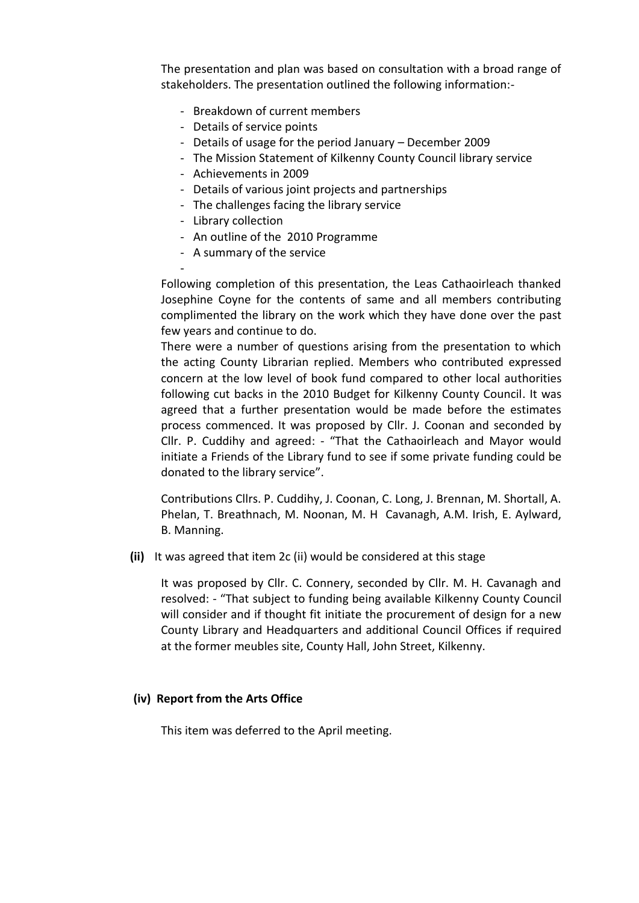The presentation and plan was based on consultation with a broad range of stakeholders. The presentation outlined the following information:-

- Breakdown of current members
- Details of service points
- Details of usage for the period January December 2009
- The Mission Statement of Kilkenny County Council library service
- Achievements in 2009
- Details of various joint projects and partnerships
- The challenges facing the library service
- Library collection
- An outline of the 2010 Programme
- A summary of the service

- Following completion of this presentation, the Leas Cathaoirleach thanked Josephine Coyne for the contents of same and all members contributing complimented the library on the work which they have done over the past few years and continue to do.

There were a number of questions arising from the presentation to which the acting County Librarian replied. Members who contributed expressed concern at the low level of book fund compared to other local authorities following cut backs in the 2010 Budget for Kilkenny County Council. It was agreed that a further presentation would be made before the estimates process commenced. It was proposed by Cllr. J. Coonan and seconded by Cllr. P. Cuddihy and agreed: - "That the Cathaoirleach and Mayor would initiate a Friends of the Library fund to see if some private funding could be donated to the library service".

Contributions Cllrs. P. Cuddihy, J. Coonan, C. Long, J. Brennan, M. Shortall, A. Phelan, T. Breathnach, M. Noonan, M. H Cavanagh, A.M. Irish, E. Aylward, B. Manning.

**(ii)** It was agreed that item 2c (ii) would be considered at this stage

It was proposed by Cllr. C. Connery, seconded by Cllr. M. H. Cavanagh and resolved: - "That subject to funding being available Kilkenny County Council will consider and if thought fit initiate the procurement of design for a new County Library and Headquarters and additional Council Offices if required at the former meubles site, County Hall, John Street, Kilkenny.

#### **(iv) Report from the Arts Office**

This item was deferred to the April meeting.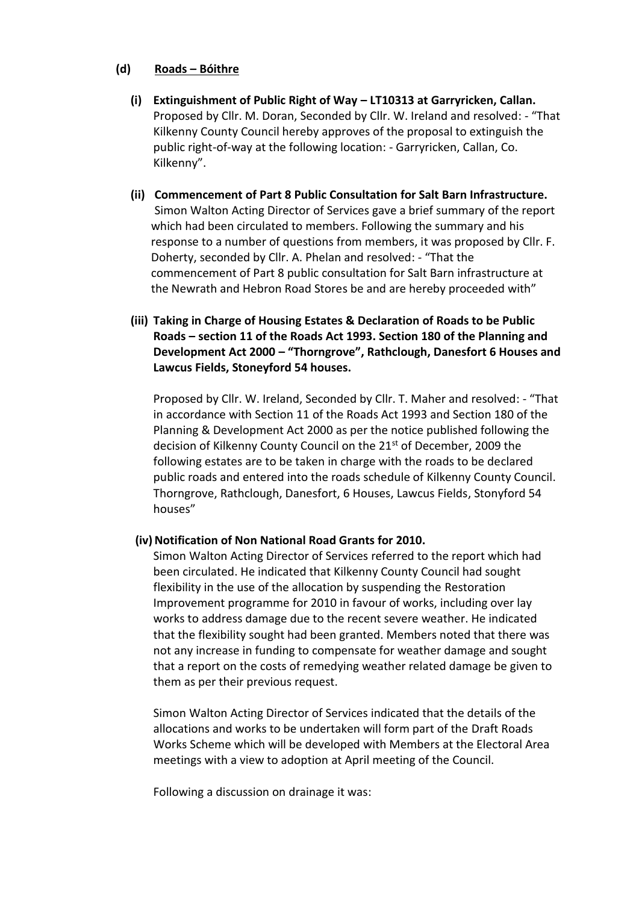#### **(d) Roads – Bóithre**

- **(i) Extinguishment of Public Right of Way – LT10313 at Garryricken, Callan.** Proposed by Cllr. M. Doran, Seconded by Cllr. W. Ireland and resolved: - "That Kilkenny County Council hereby approves of the proposal to extinguish the public right-of-way at the following location: - Garryricken, Callan, Co. Kilkenny".
- **(ii) Commencement of Part 8 Public Consultation for Salt Barn Infrastructure.** Simon Walton Acting Director of Services gave a brief summary of the report which had been circulated to members. Following the summary and his response to a number of questions from members, it was proposed by Cllr. F. Doherty, seconded by Cllr. A. Phelan and resolved: - "That the commencement of Part 8 public consultation for Salt Barn infrastructure at the Newrath and Hebron Road Stores be and are hereby proceeded with"
- **(iii) Taking in Charge of Housing Estates & Declaration of Roads to be Public Roads – section 11 of the Roads Act 1993. Section 180 of the Planning and Development Act 2000 – "Thorngrove", Rathclough, Danesfort 6 Houses and Lawcus Fields, Stoneyford 54 houses.**

Proposed by Cllr. W. Ireland, Seconded by Cllr. T. Maher and resolved: - "That in accordance with Section 11 of the Roads Act 1993 and Section 180 of the Planning & Development Act 2000 as per the notice published following the decision of Kilkenny County Council on the 21<sup>st</sup> of December, 2009 the following estates are to be taken in charge with the roads to be declared public roads and entered into the roads schedule of Kilkenny County Council. Thorngrove, Rathclough, Danesfort, 6 Houses, Lawcus Fields, Stonyford 54 houses"

#### (iv) Notification of Non National Road Grants for 2010.

Simon Walton Acting Director of Services referred to the report which had been circulated. He indicated that Kilkenny County Council had sought flexibility in the use of the allocation by suspending the Restoration Improvement programme for 2010 in favour of works, including over lay works to address damage due to the recent severe weather. He indicated that the flexibility sought had been granted. Members noted that there was not any increase in funding to compensate for weather damage and sought that a report on the costs of remedying weather related damage be given to them as per their previous request.

Simon Walton Acting Director of Services indicated that the details of the allocations and works to be undertaken will form part of the Draft Roads Works Scheme which will be developed with Members at the Electoral Area meetings with a view to adoption at April meeting of the Council.

Following a discussion on drainage it was: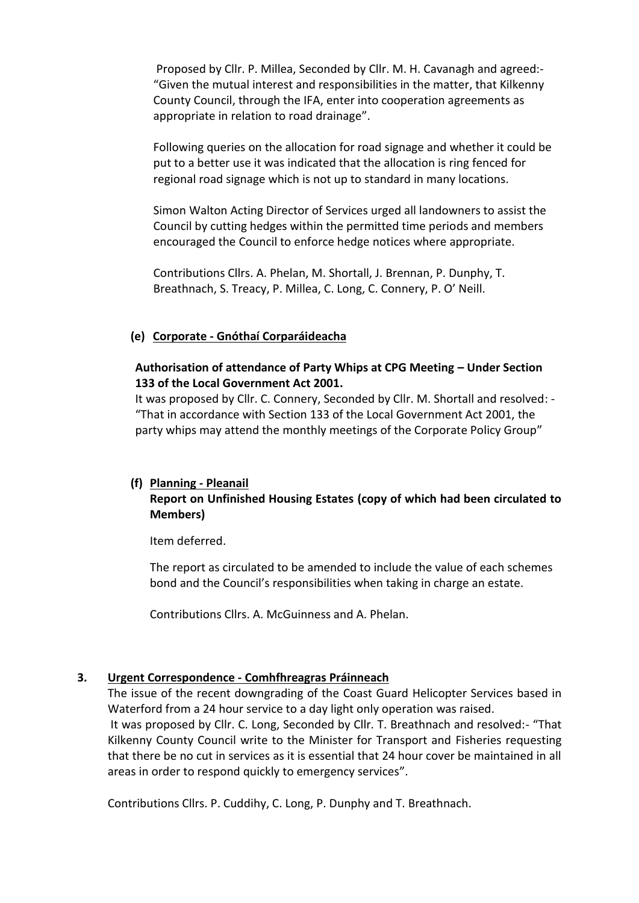Proposed by Cllr. P. Millea, Seconded by Cllr. M. H. Cavanagh and agreed:- "Given the mutual interest and responsibilities in the matter, that Kilkenny County Council, through the IFA, enter into cooperation agreements as appropriate in relation to road drainage".

Following queries on the allocation for road signage and whether it could be put to a better use it was indicated that the allocation is ring fenced for regional road signage which is not up to standard in many locations.

Simon Walton Acting Director of Services urged all landowners to assist the Council by cutting hedges within the permitted time periods and members encouraged the Council to enforce hedge notices where appropriate.

Contributions Cllrs. A. Phelan, M. Shortall, J. Brennan, P. Dunphy, T. Breathnach, S. Treacy, P. Millea, C. Long, C. Connery, P. O' Neill.

#### **(e) Corporate - Gnóthaí Corparáideacha**

### **Authorisation of attendance of Party Whips at CPG Meeting – Under Section 133 of the Local Government Act 2001.**

It was proposed by Cllr. C. Connery, Seconded by Cllr. M. Shortall and resolved: - "That in accordance with Section 133 of the Local Government Act 2001, the party whips may attend the monthly meetings of the Corporate Policy Group"

### **(f) Planning - Pleanail Report on Unfinished Housing Estates (copy of which had been circulated to Members)**

Item deferred.

The report as circulated to be amended to include the value of each schemes bond and the Council's responsibilities when taking in charge an estate.

Contributions Cllrs. A. McGuinness and A. Phelan.

#### **3. Urgent Correspondence - Comhfhreagras Práinneach**

The issue of the recent downgrading of the Coast Guard Helicopter Services based in Waterford from a 24 hour service to a day light only operation was raised.

It was proposed by Cllr. C. Long, Seconded by Cllr. T. Breathnach and resolved:- "That Kilkenny County Council write to the Minister for Transport and Fisheries requesting that there be no cut in services as it is essential that 24 hour cover be maintained in all areas in order to respond quickly to emergency services".

Contributions Cllrs. P. Cuddihy, C. Long, P. Dunphy and T. Breathnach.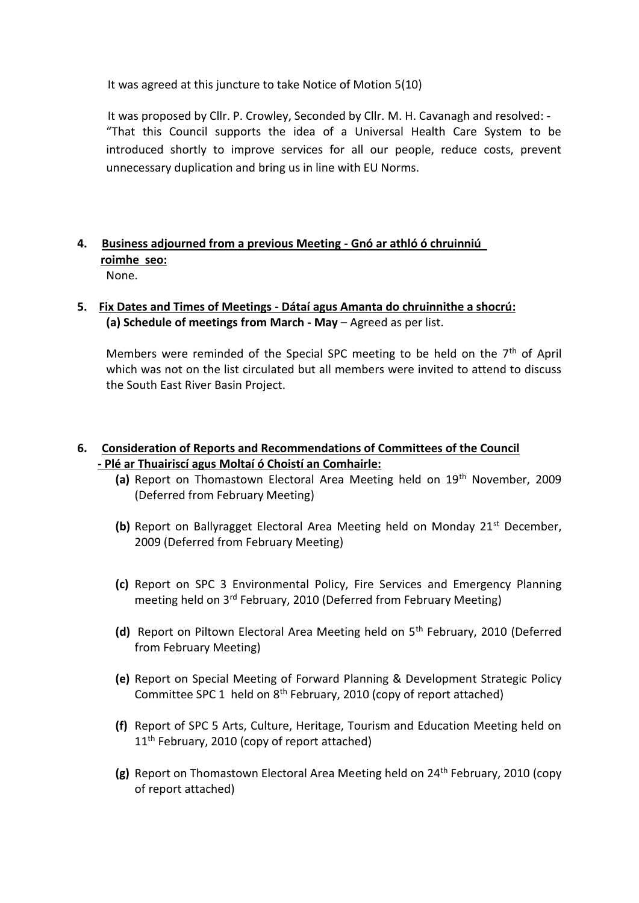It was agreed at this juncture to take Notice of Motion 5(10)

It was proposed by Cllr. P. Crowley, Seconded by Cllr. M. H. Cavanagh and resolved: - "That this Council supports the idea of a Universal Health Care System to be introduced shortly to improve services for all our people, reduce costs, prevent unnecessary duplication and bring us in line with EU Norms.

### **4. Business adjourned from a previous Meeting - Gnó ar athló ó chruinniú roimhe seo:** None.

## **5. Fix Dates and Times of Meetings - Dátaí agus Amanta do chruinnithe a shocrú: (a) Schedule of meetings from March - May** – Agreed as per list.

Members were reminded of the Special SPC meeting to be held on the 7<sup>th</sup> of April which was not on the list circulated but all members were invited to attend to discuss the South East River Basin Project.

# **6. Consideration of Reports and Recommendations of Committees of the Council - Plé ar Thuairiscí agus Moltaí ó Choistí an Comhairle:**

- **(a)** Report on Thomastown Electoral Area Meeting held on 19th November, 2009 (Deferred from February Meeting)
- **(b)** Report on Ballyragget Electoral Area Meeting held on Monday 21<sup>st</sup> December, 2009 (Deferred from February Meeting)
- **(c)** Report on SPC 3 Environmental Policy, Fire Services and Emergency Planning meeting held on 3rd February, 2010 (Deferred from February Meeting)
- **(d)** Report on Piltown Electoral Area Meeting held on 5th February, 2010 (Deferred from February Meeting)
- **(e)** Report on Special Meeting of Forward Planning & Development Strategic Policy Committee SPC 1 held on  $8<sup>th</sup>$  February, 2010 (copy of report attached)
- **(f)** Report of SPC 5 Arts, Culture, Heritage, Tourism and Education Meeting held on 11<sup>th</sup> February, 2010 (copy of report attached)
- **(g)** Report on Thomastown Electoral Area Meeting held on 24th February, 2010 (copy of report attached)